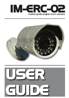



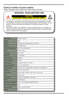## **IM-ERC-02 SERIES COLOUR CAMERA**

Water Resistant Day / Night Infra Red Colour Camera

# **WARNING: READ BEFORE USE**

**CAUTION ELECTRIC SHOCK RISK. DO NOT OPEN**

TO REDUCE THE RISK OF ELECTRIC SHOCK DO NOT REMOVE COVER OR DISMANTLE DEVICE. NO USER SERVICEABLE PARTS INSIDE. IN THE EVENT OF MALFUNCTION OR PRODUCT FAILURE CONTACT YOUR DEALER.

DO NOT ATTEMPT TO CONNECT TO ANY POWER SUPPLY OUTSIDE OF THE RATING SPECIFIED IN THE SPECIFICATION TABLE OR GUIDELINES DETAIL WITHIN THIS DOCUMENT.

| <b>Dimensions</b>            | 66mmØ x 188mm                                          |
|------------------------------|--------------------------------------------------------|
| Weight                       | 300q                                                   |
| <b>Material</b>              | Stainless Steel / White Powder Coat Finish             |
| Imaging                      | 1/3" SONY CCD                                          |
| <b>Horizontal Resoluiton</b> | 420 TVL Low Illumination                               |
| <b>Pixels</b>                | 510(h) x 492(v)                                        |
| <b>TV System</b>             | PAL / NTSC                                             |
| <b>Scanning</b>              | 2:1 Interlaced                                         |
| <b>White Balance</b>         | Automatic                                              |
| Synchronization              | Internal                                               |
| <b>Output Signal</b>         | Composite Video 1V P~P 75Ω                             |
| <b>Usable Illumination</b>   | 0 Lux / F2.0 (LED ON)                                  |
| <b>Shutter Speed</b>         | Auto:PAL 1/50~1/100,000 Sec ; NTSC 1/60 ~1/100,000 Sec |
| <b>IR Status</b>             | Under 10 Lux by CDS                                    |
| <b>Connections</b>           | Video via BNC Female / Power via DC Jack 2.1mm         |
| Lens                         | 3.6mm Fixed                                            |
| <b>Illumination</b>          | 23 Pieces / IR Distance = 20 meters                    |
| <b>Power</b>                 | DC12V 300mA                                            |
| <b>Operating Temperature</b> | -10°C ~ +50° Relative Humidity 95% Max                 |
| <b>Environmental Rating</b>  | IP68                                                   |
| <b>Signal / Noise</b>        | 48db or more (AGC OFF)                                 |
| Gamma                        | 0.45                                                   |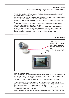The IM-ERC-02 General Purpose Water Resistant Camera adopts the latest SONY technology, CCD Sensor and driver.

Key features of the ERC-02 are it's attractive, stylish housing, environmental protection (IP68), ease of installation and setup and high resolution.

Built-in Infra Red LED's operate automatically in low light to provide visability in complete darkness.

The IM-ERC-02 is perfect for use as an engine room camera, a back-up or docking camera, or part of an on board security system.

Please ensure installation is carried out by qualified engineer and that the device is properly connected to the power source. This equipment must be suitably isolated to prevent damage or risk of injury. For further technical support please contact your dealer, or Iris Innovations using the contact details within this document.

# **CONNECTIONS**



#### **Reverse Image Version**

ERC-02 cameras with reverse (or mirror image) functionality have a DIP switch fitted to the inside of the housing. To select the reverse image feature simply slip off the sun visor and unscrew the front of the camera housing.

Set switch 1 to ON for reverse image. Set switch 1 to OFF for standard image.

The ERC-02 camera is fitted with a cable tail which has a 2.1mm DC Jack for the power and a female BNC connector for the video signal. The polarity of the power connection is center pin  $= +12V$ , connector body = Ground.

Use a suitable coaxial cable with an impedance of  $75\Omega$  for the video signal or a suitable Video Balum if using Cat 5 cable.

Ready made power, video and combination cables are available from Iris Innovations.